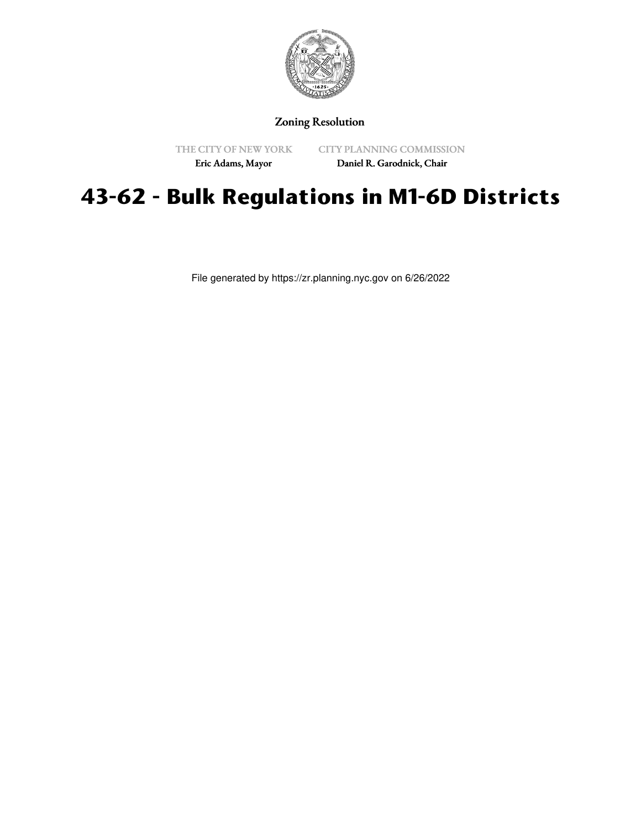

### Zoning Resolution

THE CITY OF NEW YORK Eric Adams, Mayor

CITY PLANNING COMMISSION

Daniel R. Garodnick, Chair

# **43-62 - Bulk Regulations in M1-6D Districts**

File generated by https://zr.planning.nyc.gov on 6/26/2022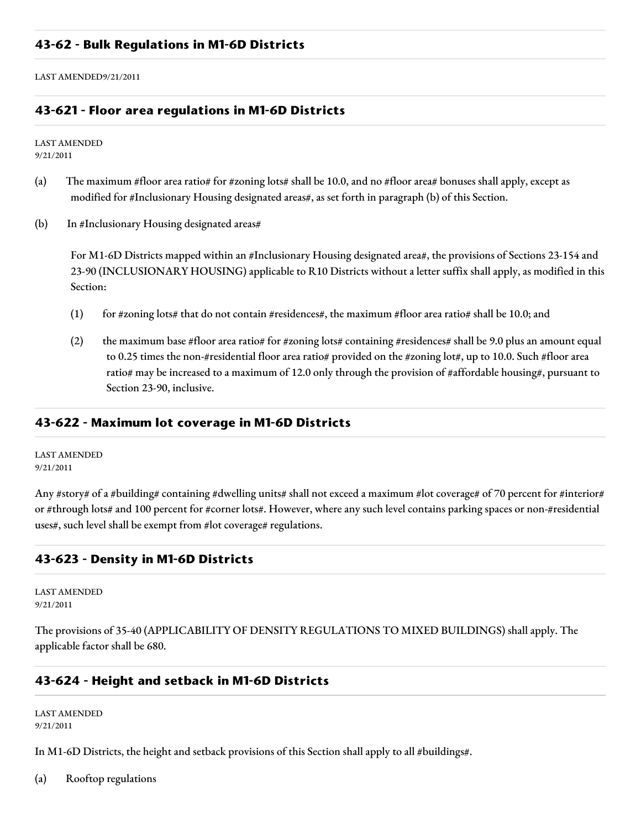LAST AMENDED9/21/2011

#### **43-621 - Floor area regulations in M1-6D Districts**

LAST AMENDED 9/21/2011

- (a) The maximum #floor area ratio# for #zoning lots# shall be 10.0, and no #floor area# bonuses shall apply, except as modified for #Inclusionary Housing designated areas#, as set forth in paragraph (b) of this Section.
- (b) In #Inclusionary Housing designated areas#

For M1-6D Districts mapped within an #Inclusionary Housing designated area#, the provisions of Sections 23-154 and 23-90 (INCLUSIONARY HOUSING) applicable to R10 Districts without a letter suffix shall apply, as modified in this Section:

- (1) for #zoning lots# that do not contain #residences#, the maximum #floor area ratio# shall be 10.0; and
- (2) the maximum base #floor area ratio# for #zoning lots# containing #residences# shall be 9.0 plus an amount equal to 0.25 times the non-#residential floor area ratio# provided on the #zoning lot#, up to 10.0. Such #floor area ratio# may be increased to a maximum of 12.0 only through the provision of #affordable housing#, pursuant to Section 23-90, inclusive.

#### **43-622 - Maximum lot coverage in M1-6D Districts**

LAST AMENDED 9/21/2011

Any #story# of a #building# containing #dwelling units# shall not exceed a maximum #lot coverage# of 70 percent for #interior# or #through lots# and 100 percent for #corner lots#. However, where any such level contains parking spaces or non-#residential uses#, such level shall be exempt from #lot coverage# regulations.

## **43-623 - Density in M1-6D Districts**

LAST AMENDED 9/21/2011

The provisions of 35-40 (APPLICABILITY OF DENSITY REGULATIONS TO MIXED BUILDINGS) shall apply. The applicable factor shall be 680.

#### **43-624 - Height and setback in M1-6D Districts**

LAST AMENDED 9/21/2011

In M1-6D Districts, the height and setback provisions of this Section shall apply to all #buildings#.

(a) Rooftop regulations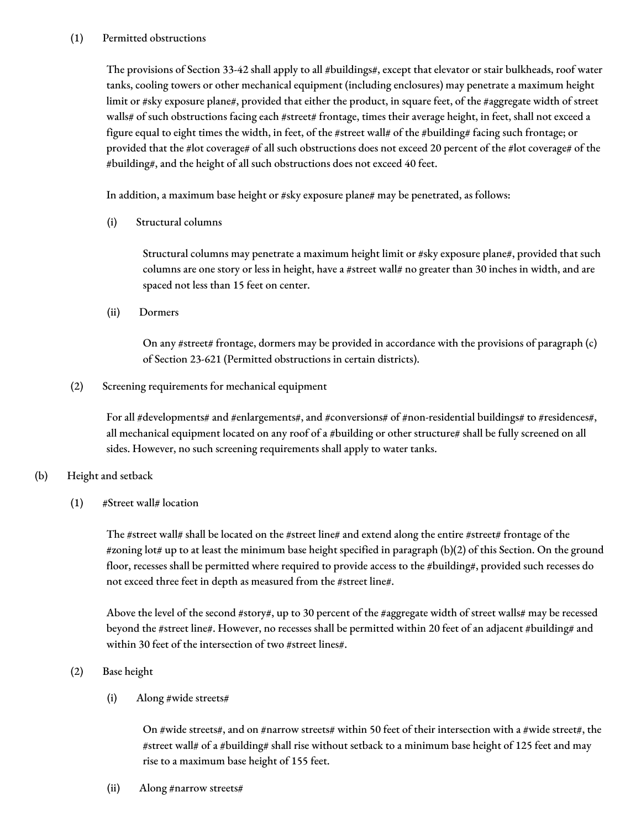#### (1) Permitted obstructions

The provisions of Section 33-42 shall apply to all #buildings#, except that elevator or stair bulkheads, roof water tanks, cooling towers or other mechanical equipment (including enclosures) may penetrate a maximum height limit or #sky exposure plane#, provided that either the product, in square feet, of the #aggregate width of street walls# of such obstructions facing each #street# frontage, times their average height, in feet, shall not exceed a figure equal to eight times the width, in feet, of the #street wall# of the #building# facing such frontage; or provided that the #lot coverage# of all such obstructions does not exceed 20 percent of the #lot coverage# of the #building#, and the height of all such obstructions does not exceed 40 feet.

In addition, a maximum base height or #sky exposure plane# may be penetrated, as follows:

(i) Structural columns

Structural columns may penetrate a maximum height limit or #sky exposure plane#, provided that such columns are one story or less in height, have a #street wall# no greater than 30 inches in width, and are spaced not less than 15 feet on center.

(ii) Dormers

On any #street# frontage, dormers may be provided in accordance with the provisions of paragraph (c) of Section 23-621 (Permitted obstructions in certain districts).

(2) Screening requirements for mechanical equipment

For all #developments# and #enlargements#, and #conversions# of #non-residential buildings# to #residences#, all mechanical equipment located on any roof of a #building or other structure# shall be fully screened on all sides. However, no such screening requirements shall apply to water tanks.

#### (b) Height and setback

(1) #Street wall# location

The #street wall# shall be located on the #street line# and extend along the entire #street# frontage of the #zoning lot# up to at least the minimum base height specified in paragraph (b)(2) of this Section. On the ground floor, recesses shall be permitted where required to provide access to the #building#, provided such recesses do not exceed three feet in depth as measured from the #street line#.

Above the level of the second #story#, up to 30 percent of the #aggregate width of street walls# may be recessed beyond the #street line#. However, no recesses shall be permitted within 20 feet of an adjacent #building# and within 30 feet of the intersection of two #street lines#.

(2) Base height

(i) Along #wide streets#

On #wide streets#, and on #narrow streets# within 50 feet of their intersection with a #wide street#, the #street wall# of a #building# shall rise without setback to a minimum base height of 125 feet and may rise to a maximum base height of 155 feet.

(ii) Along #narrow streets#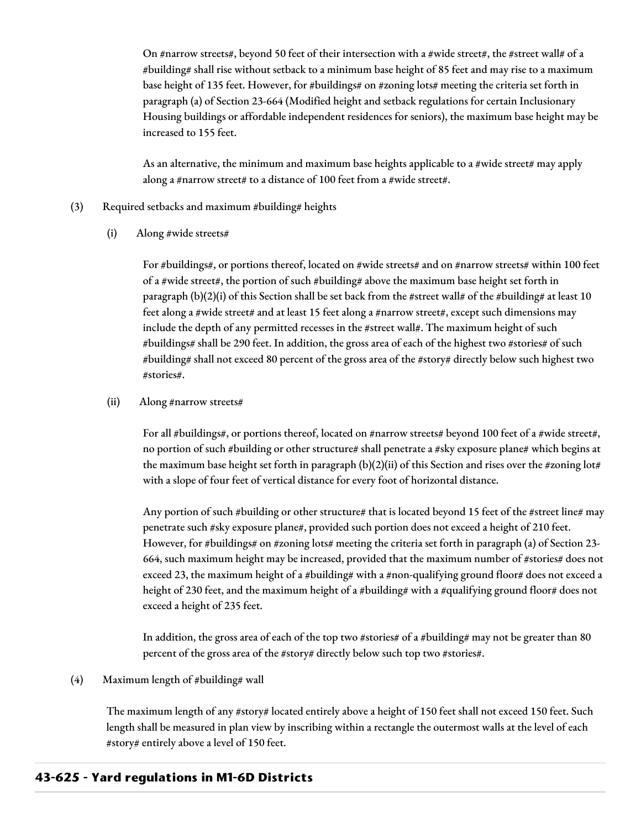On #narrow streets#, beyond 50 feet of their intersection with a #wide street#, the #street wall# of a #building# shall rise without setback to a minimum base height of 85 feet and may rise to a maximum base height of 135 feet. However, for #buildings# on #zoning lots# meeting the criteria set forth in paragraph (a) of Section 23-664 (Modified height and setback regulations for certain Inclusionary Housing buildings or affordable independent residences for seniors), the maximum base height may be increased to 155 feet.

As an alternative, the minimum and maximum base heights applicable to a #wide street# may apply along a #narrow street# to a distance of 100 feet from a #wide street#.

#### (3) Required setbacks and maximum #building# heights

(i) Along #wide streets#

For #buildings#, or portions thereof, located on #wide streets# and on #narrow streets# within 100 feet of a #wide street#, the portion of such #building# above the maximum base height set forth in paragraph (b)(2)(i) of this Section shall be set back from the #street wall# of the #building# at least 10 feet along a #wide street# and at least 15 feet along a #narrow street#, except such dimensions may include the depth of any permitted recesses in the #street wall#. The maximum height of such #buildings# shall be 290 feet. In addition, the gross area of each of the highest two #stories# of such #building# shall not exceed 80 percent of the gross area of the #story# directly below such highest two #stories#.

#### (ii) Along #narrow streets#

For all #buildings#, or portions thereof, located on #narrow streets# beyond 100 feet of a #wide street#, no portion of such #building or other structure# shall penetrate a #sky exposure plane# which begins at the maximum base height set forth in paragraph (b)(2)(ii) of this Section and rises over the #zoning lot# with a slope of four feet of vertical distance for every foot of horizontal distance.

Any portion of such #building or other structure# that is located beyond 15 feet of the #street line# may penetrate such #sky exposure plane#, provided such portion does not exceed a height of 210 feet. However, for #buildings# on #zoning lots# meeting the criteria set forth in paragraph (a) of Section 23-664, such maximum height may be increased, provided that the maximum number of #stories# does not exceed 23, the maximum height of a #building# with a #non-qualifying ground floor# does not exceed a height of 230 feet, and the maximum height of a #building# with a #qualifying ground floor# does not exceed a height of 235 feet.

In addition, the gross area of each of the top two #stories# of a #building# may not be greater than 80 percent of the gross area of the #story# directly below such top two #stories#.

(4) Maximum length of #building# wall

The maximum length of any #story# located entirely above a height of 150 feet shall not exceed 150 feet. Such length shall be measured in plan view by inscribing within a rectangle the outermost walls at the level of each #story# entirely above a level of 150 feet.

## **43-625 - Yard regulations in M1-6D Districts**